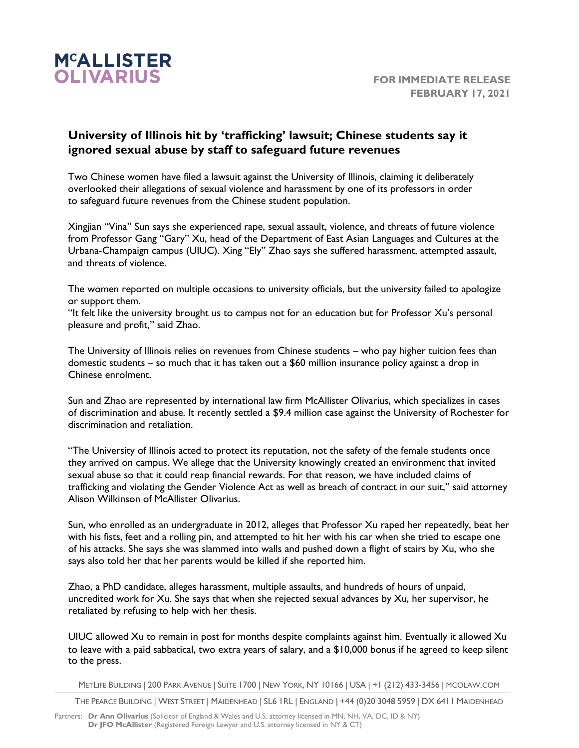

## **University of Illinois hit by 'trafficking' lawsuit; Chinese students say it ignored sexual abuse by staff to safeguard future revenues**

Two Chinese women have filed a lawsuit against the University of Illinois, claiming it deliberately overlooked their allegations of sexual violence and harassment by one of its professors in order to safeguard future revenues from the Chinese student population.

Xingjian "Vina" Sun says she experienced rape, sexual assault, violence, and threats of future violence from Professor Gang "Gary" Xu, head of the Department of East Asian Languages and Cultures at the Urbana-Champaign campus (UIUC). Xing "Ely" Zhao says she suffered harassment, attempted assault, and threats of violence.

The women reported on multiple occasions to university officials, but the university failed to apologize or support them.

"It felt like the university brought us to campus not for an education but for Professor Xu's personal pleasure and profit," said Zhao.

The University of Illinois relies on revenues from Chinese students – who pay higher tuition fees than domestic students – so much that it has taken out a \$60 million insurance policy against a drop in Chinese enrolment.

Sun and Zhao are represented by international law firm McAllister Olivarius, which specializes in cases of discrimination and abuse. It recently settled a \$9.4 million case against the University of Rochester for discrimination and retaliation.

"The University of Illinois acted to protect its reputation, not the safety of the female students once they arrived on campus. We allege that the University knowingly created an environment that invited sexual abuse so that it could reap financial rewards. For that reason, we have included claims of trafficking and violating the Gender Violence Act as well as breach of contract in our suit," said attorney Alison Wilkinson of McAllister Olivarius.

Sun, who enrolled as an undergraduate in 2012, alleges that Professor Xu raped her repeatedly, beat her with his fists, feet and a rolling pin, and attempted to hit her with his car when she tried to escape one of his attacks. She says she was slammed into walls and pushed down a flight of stairs by Xu, who she says also told her that her parents would be killed if she reported him.

Zhao, a PhD candidate, alleges harassment, multiple assaults, and hundreds of hours of unpaid, uncredited work for Xu. She says that when she rejected sexual advances by Xu, her supervisor, he retaliated by refusing to help with her thesis.

UIUC allowed Xu to remain in post for months despite complaints against him. Eventually it allowed Xu to leave with a paid sabbatical, two extra years of salary, and a \$10,000 bonus if he agreed to keep silent to the press.

METLIFE BUILDING | 200 PARK AVENUE | SUITE 1700 | NEW YORK, NY 10166 | USA | +1 (212) 433-3456 | MCOLAW.COM

THE PEARCE BUILDING | WEST STREET | MAIDENHEAD | SL6 1RL | ENGLAND | +44 (0)20 3048 5959 | DX 6411 MAIDENHEAD